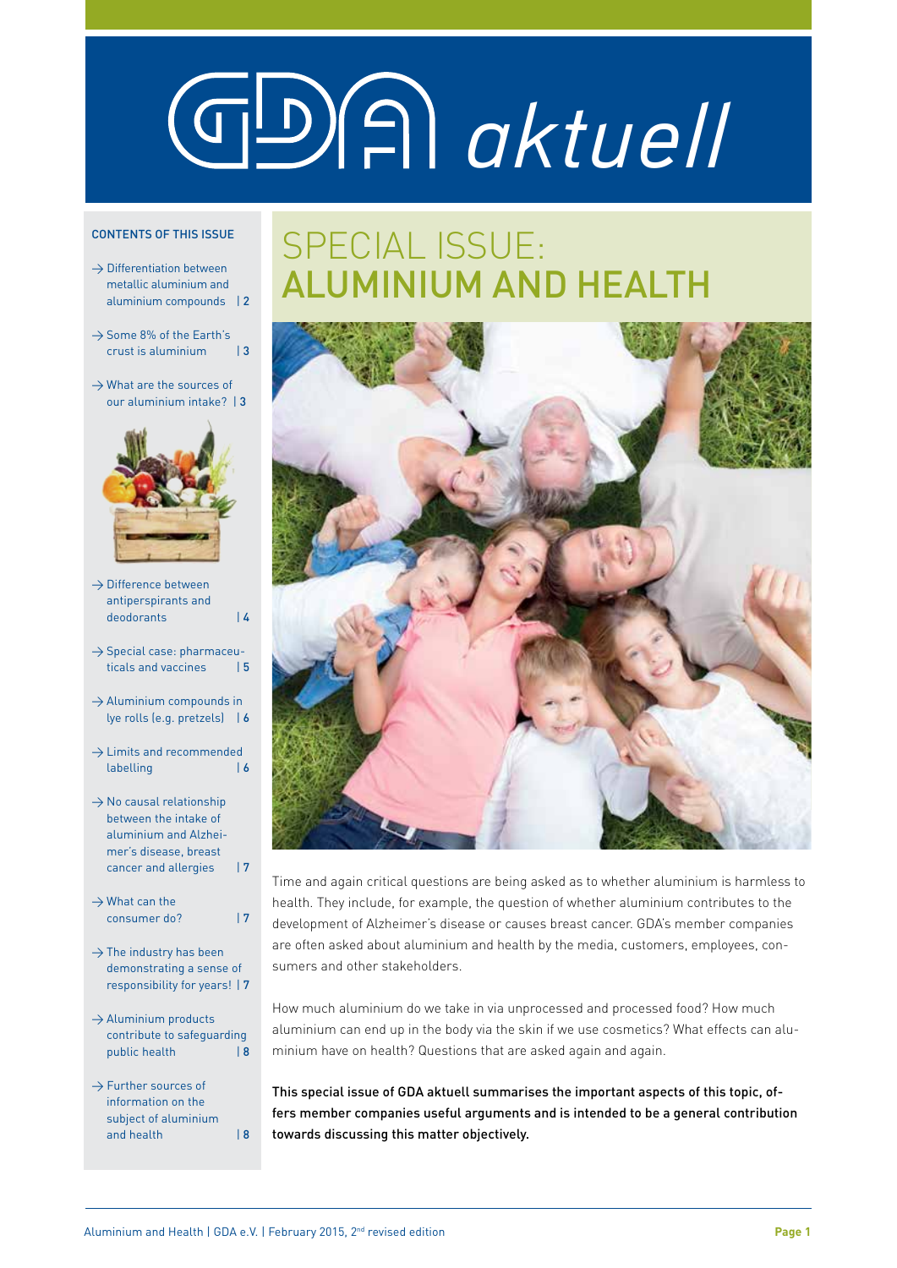# *aktuell*

#### CONTENTS OF THIS ISSUE

- $\rightarrow$  Differentiation between metallic aluminium and aluminium compounds | 2
- $\rightarrow$  Some 8% of the Earth's crust is aluminium | 3
- $\rightarrow$  What are the sources of our aluminium intake? | 3



- $\rightarrow$  Difference between antiperspirants and deodorants | 4
- $\rightarrow$  Special case: pharmaceuticals and vaccines | 5
- $\rightarrow$  Aluminium compounds in lye rolls (e.g. pretzels) | 6
- $\rightarrow$  Limits and recommended labelling | 6
- $\rightarrow$  No causal relationship between the intake of aluminium and Alzheimer's disease, breast cancer and allergies | 7
- $\rightarrow$  What can the consumer do? | 7
- $\rightarrow$  The industry has been demonstrating a sense of responsibility for years! | 7
- $\rightarrow$  Aluminium products contribute to safeguarding public health  $| 8$
- $\rightarrow$  Further sources of information on the subject of aluminium and health  $\vert 8$

# SPECIAL ISSUE: ALUMINIUM AND HEALTH



Time and again critical questions are being asked as to whether aluminium is harmless to health. They include, for example, the question of whether aluminium contributes to the development of Alzheimer's disease or causes breast cancer. GDA's member companies are often asked about aluminium and health by the media, customers, employees, consumers and other stakeholders.

How much aluminium do we take in via unprocessed and processed food? How much aluminium can end up in the body via the skin if we use cosmetics? What effects can aluminium have on health? Questions that are asked again and again.

This special issue of GDA aktuell summarises the important aspects of this topic, offers member companies useful arguments and is intended to be a general contribution towards discussing this matter objectively.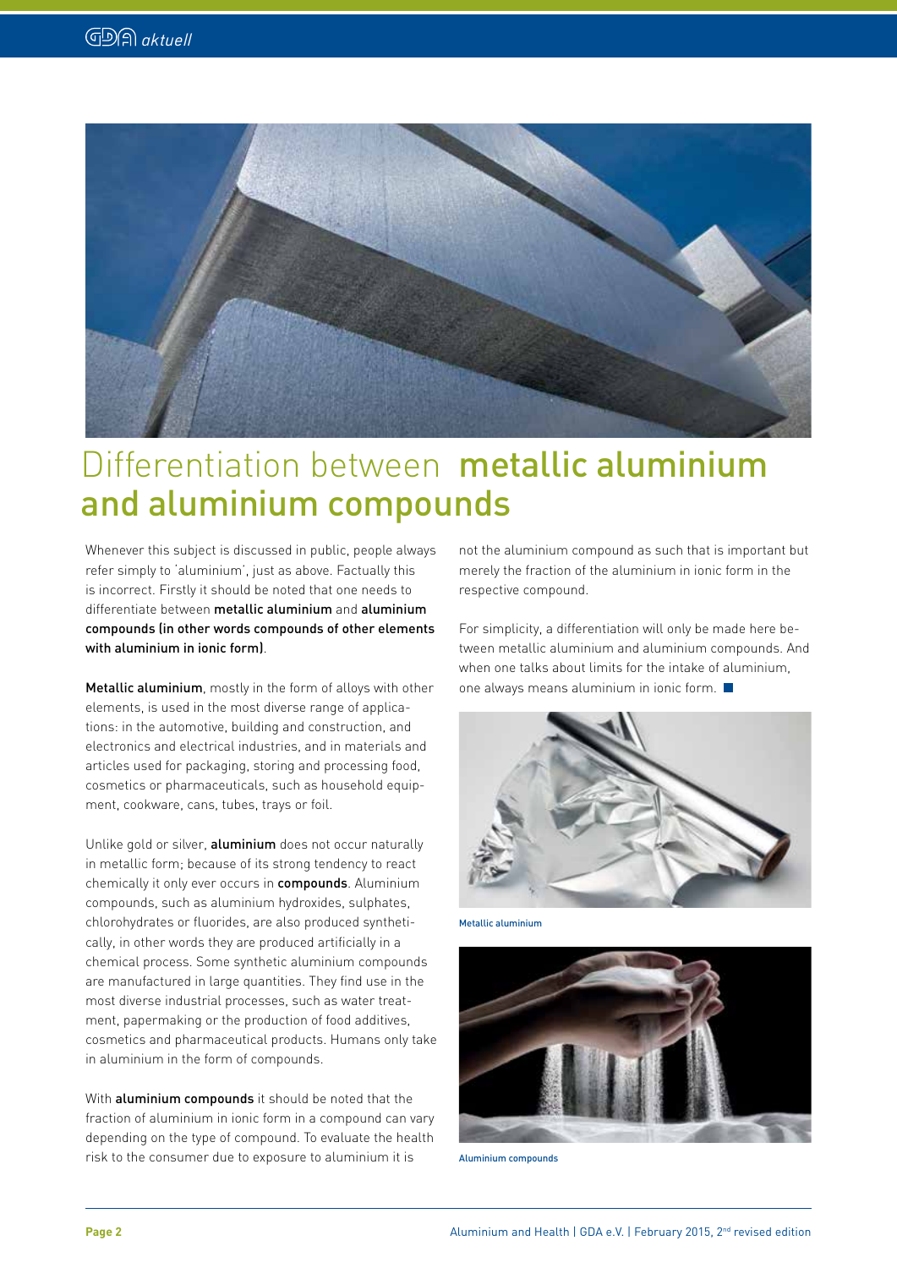

# Differentiation between metallic aluminium and aluminium compounds

Whenever this subject is discussed in public, people always refer simply to 'aluminium', just as above. Factually this is incorrect. Firstly it should be noted that one needs to differentiate between metallic aluminium and aluminium compounds (in other words compounds of other elements with aluminium in ionic form).

Metallic aluminium, mostly in the form of alloys with other elements, is used in the most diverse range of applications: in the automotive, building and construction, and electronics and electrical industries, and in materials and articles used for packaging, storing and processing food, cosmetics or pharmaceuticals, such as household equipment, cookware, cans, tubes, trays or foil.

Unlike gold or silver, aluminium does not occur naturally in metallic form; because of its strong tendency to react chemically it only ever occurs in compounds. Aluminium compounds, such as aluminium hydroxides, sulphates, chlorohydrates or fluorides, are also produced synthetically, in other words they are produced artificially in a chemical process. Some synthetic aluminium compounds are manufactured in large quantities. They find use in the most diverse industrial processes, such as water treatment, papermaking or the production of food additives, cosmetics and pharmaceutical products. Humans only take in aluminium in the form of compounds.

With **aluminium compounds** it should be noted that the fraction of aluminium in ionic form in a compound can vary depending on the type of compound. To evaluate the health risk to the consumer due to exposure to aluminium it is

not the aluminium compound as such that is important but merely the fraction of the aluminium in ionic form in the respective compound.

For simplicity, a differentiation will only be made here between metallic aluminium and aluminium compounds. And when one talks about limits for the intake of aluminium, one always means aluminium in ionic form.



Metallic aluminium



Aluminium compounds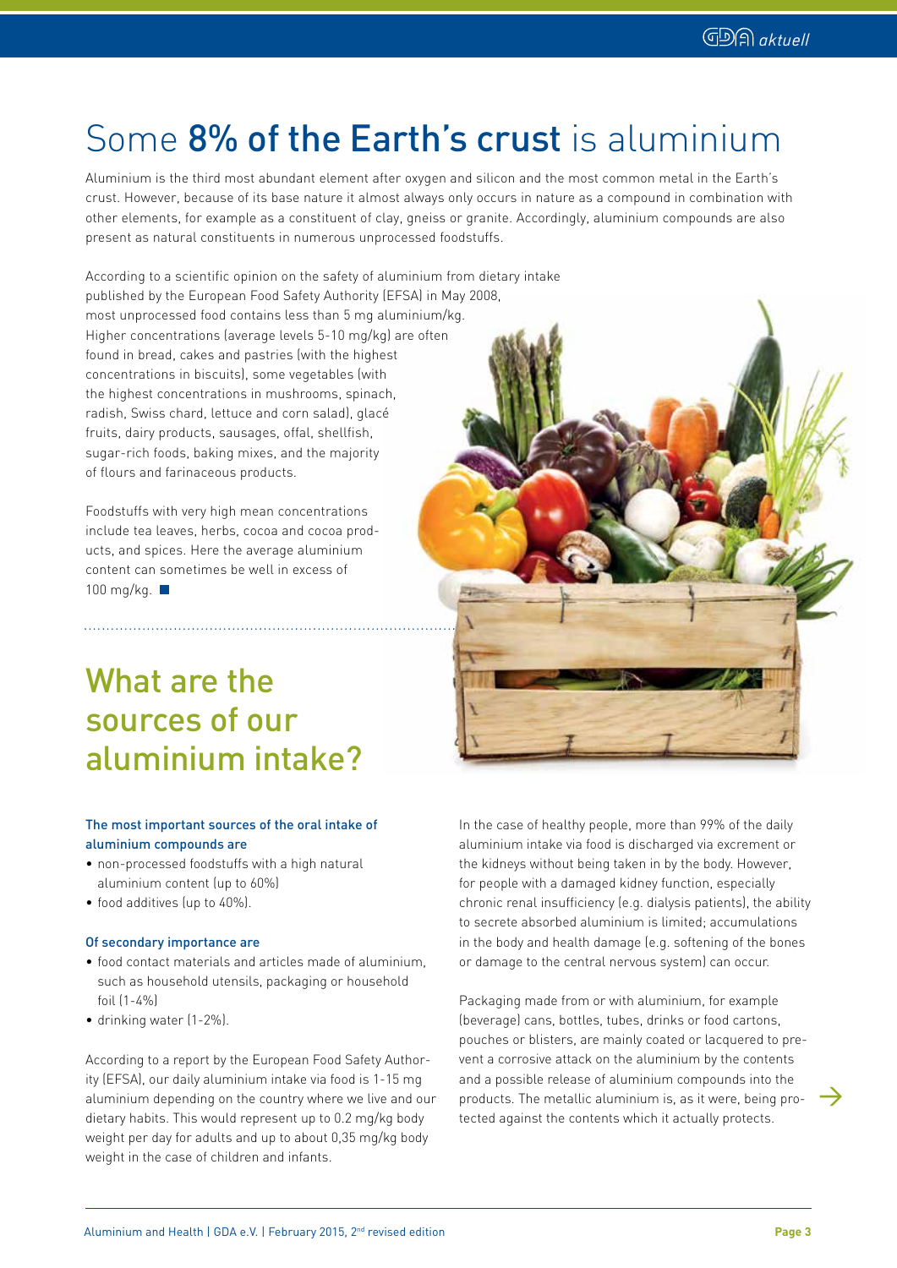# Some 8% of the Earth's crust is aluminium

Aluminium is the third most abundant element after oxygen and silicon and the most common metal in the Earth's crust. However, because of its base nature it almost always only occurs in nature as a compound in combination with other elements, for example as a constituent of clay, gneiss or granite. Accordingly, aluminium compounds are also present as natural constituents in numerous unprocessed foodstuffs.

According to a scientific opinion on the safety of aluminium from dietary intake

published by the European Food Safety Authority (EFSA) in May 2008, most unprocessed food contains less than 5 mg aluminium/kg. Higher concentrations (average levels 5-10 mg/kg) are often found in bread, cakes and pastries (with the highest concentrations in biscuits), some vegetables (with the highest concentrations in mushrooms, spinach, radish, Swiss chard, lettuce and corn salad), glacé fruits, dairy products, sausages, offal, shellfish, sugar-rich foods, baking mixes, and the majority of flours and farinaceous products.

Foodstuffs with very high mean concentrations include tea leaves, herbs, cocoa and cocoa products, and spices. Here the average aluminium content can sometimes be well in excess of 100 mg/kg.

## What are the sources of our aluminium intake?

#### The most important sources of the oral intake of aluminium compounds are

- non-processed foodstuffs with a high natural aluminium content (up to 60%)
- food additives (up to 40%).

#### Of secondary importance are

- food contact materials and articles made of aluminium, such as household utensils, packaging or household foil (1-4%)
- drinking water (1-2%).

According to a report by the European Food Safety Authority (EFSA), our daily aluminium intake via food is 1-15 mg aluminium depending on the country where we live and our dietary habits. This would represent up to 0.2 mg/kg body weight per day for adults and up to about 0,35 mg/kg body weight in the case of children and infants.



In the case of healthy people, more than 99% of the daily aluminium intake via food is discharged via excrement or the kidneys without being taken in by the body. However, for people with a damaged kidney function, especially chronic renal insufficiency (e.g. dialysis patients), the ability to secrete absorbed aluminium is limited; accumulations in the body and health damage (e.g. softening of the bones or damage to the central nervous system) can occur.

Packaging made from or with aluminium, for example (beverage) cans, bottles, tubes, drinks or food cartons, pouches or blisters, are mainly coated or lacquered to prevent a corrosive attack on the aluminium by the contents and a possible release of aluminium compounds into the products. The metallic aluminium is, as it were, being protected against the contents which it actually protects.

 $\rightarrow$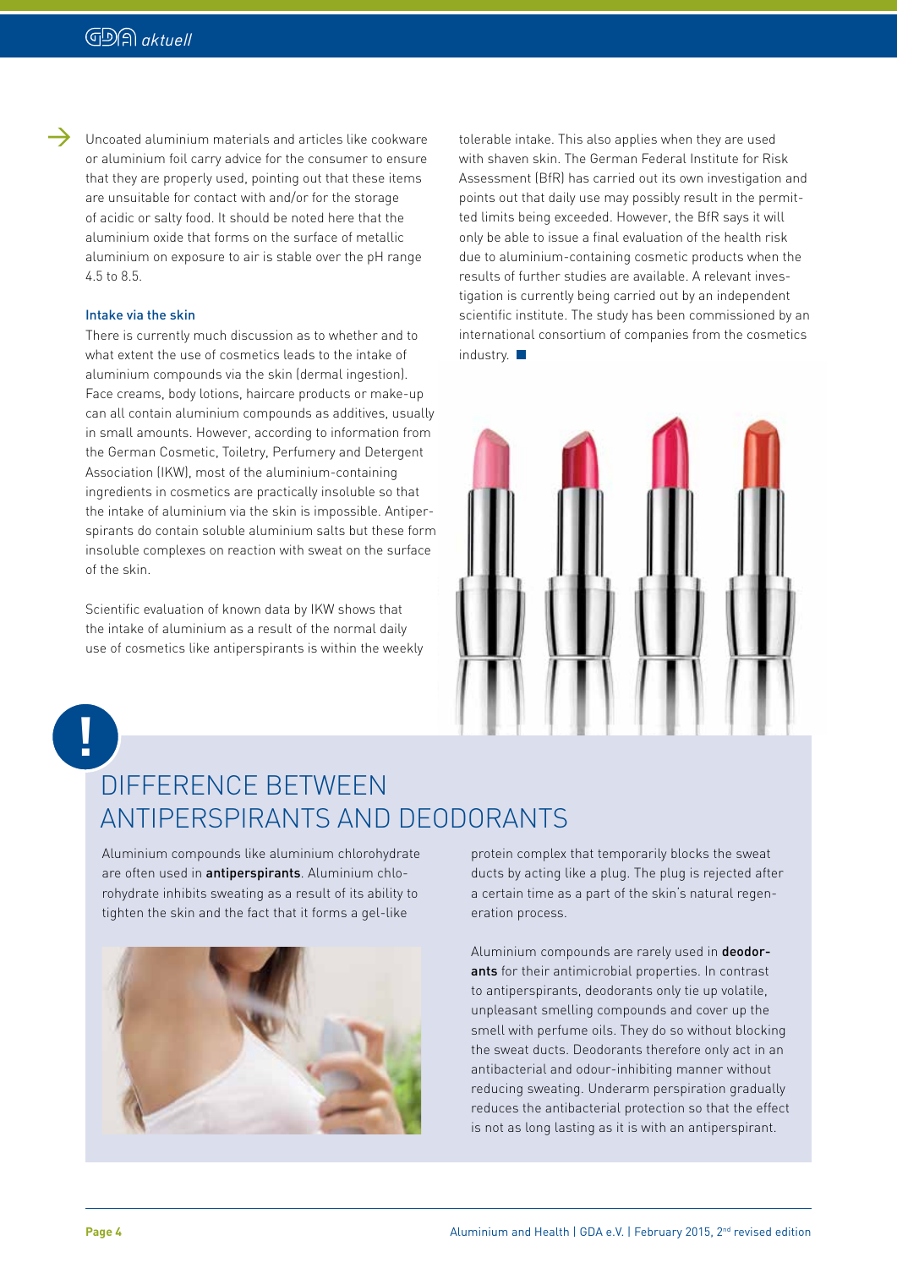$\rightarrow$ 

Uncoated aluminium materials and articles like cookware or aluminium foil carry advice for the consumer to ensure that they are properly used, pointing out that these items are unsuitable for contact with and/or for the storage of acidic or salty food. It should be noted here that the aluminium oxide that forms on the surface of metallic aluminium on exposure to air is stable over the pH range 4.5 to 8.5.

#### Intake via the skin

There is currently much discussion as to whether and to what extent the use of cosmetics leads to the intake of aluminium compounds via the skin (dermal ingestion). Face creams, body lotions, haircare products or make-up can all contain aluminium compounds as additives, usually in small amounts. However, according to information from the German Cosmetic, Toiletry, Perfumery and Detergent Association (IKW), most of the aluminium-containing ingredients in cosmetics are practically insoluble so that the intake of aluminium via the skin is impossible. Antiperspirants do contain soluble aluminium salts but these form insoluble complexes on reaction with sweat on the surface of the skin.

Scientific evaluation of known data by IKW shows that the intake of aluminium as a result of the normal daily use of cosmetics like antiperspirants is within the weekly

tolerable intake. This also applies when they are used with shaven skin. The German Federal Institute for Risk Assessment (BfR) has carried out its own investigation and points out that daily use may possibly result in the permitted limits being exceeded. However, the BfR says it will only be able to issue a final evaluation of the health risk due to aluminium-containing cosmetic products when the results of further studies are available. A relevant investigation is currently being carried out by an independent scientific institute. The study has been commissioned by an international consortium of companies from the cosmetics industry.



**!**

#### DIFFERENCE BETWEEN ANTIPERSPIRANTS AND DEODORANTS

Aluminium compounds like aluminium chlorohydrate are often used in antiperspirants. Aluminium chlorohydrate inhibits sweating as a result of its ability to tighten the skin and the fact that it forms a gel-like



protein complex that temporarily blocks the sweat ducts by acting like a plug. The plug is rejected after a certain time as a part of the skin's natural regeneration process.

Aluminium compounds are rarely used in **deodor**ants for their antimicrobial properties. In contrast to antiperspirants, deodorants only tie up volatile, unpleasant smelling compounds and cover up the smell with perfume oils. They do so without blocking the sweat ducts. Deodorants therefore only act in an antibacterial and odour-inhibiting manner without reducing sweating. Underarm perspiration gradually reduces the antibacterial protection so that the effect is not as long lasting as it is with an antiperspirant.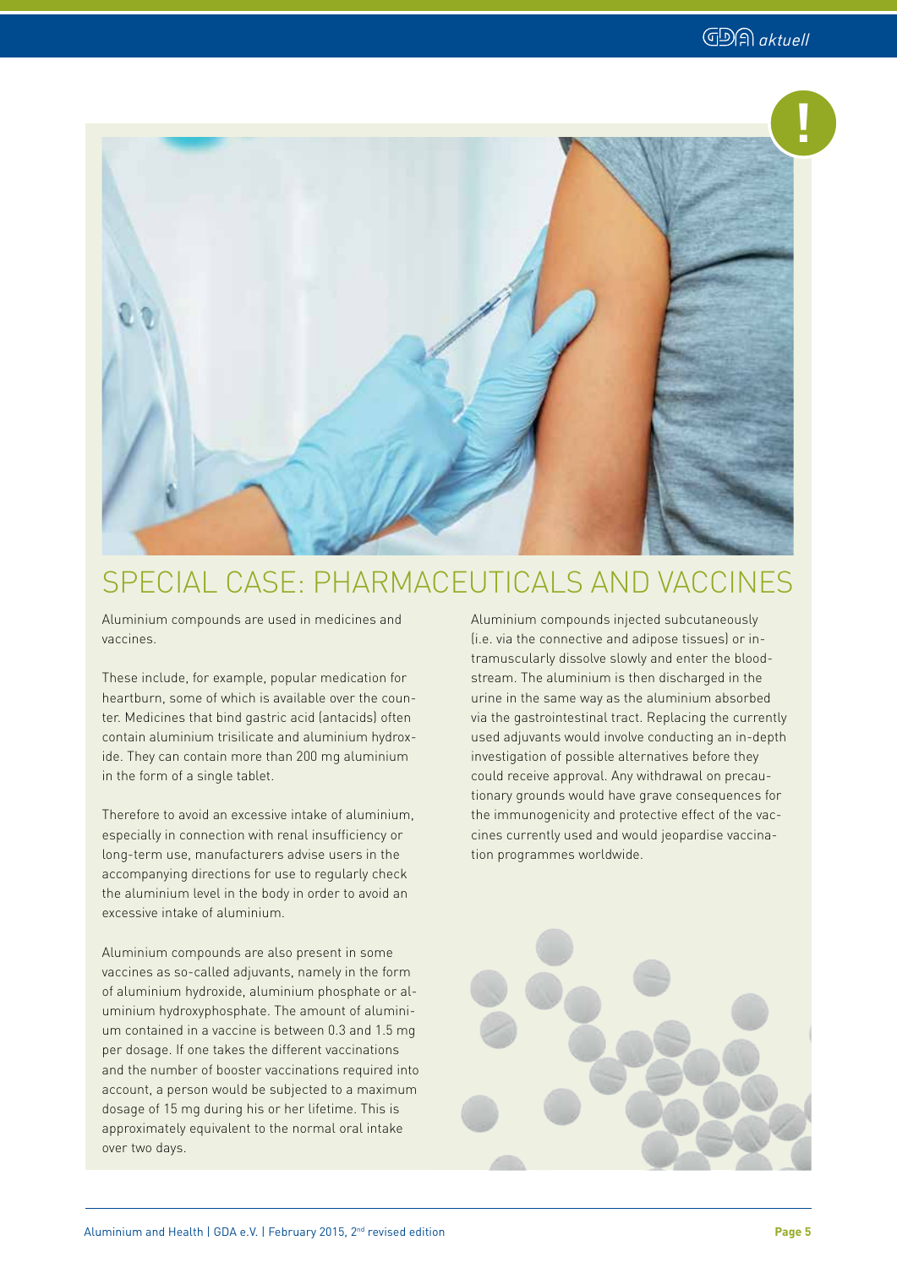

#### SPECIAL CASE: PHARMACEUTICALS AND VACCINES

Aluminium compounds are used in medicines and vaccines.

These include, for example, popular medication for heartburn, some of which is available over the counter. Medicines that bind gastric acid (antacids) often contain aluminium trisilicate and aluminium hydroxide. They can contain more than 200 mg aluminium in the form of a single tablet.

Therefore to avoid an excessive intake of aluminium, especially in connection with renal insufficiency or long-term use, manufacturers advise users in the accompanying directions for use to regularly check the aluminium level in the body in order to avoid an excessive intake of aluminium.

Aluminium compounds are also present in some vaccines as so-called adjuvants, namely in the form of aluminium hydroxide, aluminium phosphate or aluminium hydroxyphosphate. The amount of aluminium contained in a vaccine is between 0.3 and 1.5 mg per dosage. If one takes the different vaccinations and the number of booster vaccinations required into account, a person would be subjected to a maximum dosage of 15 mg during his or her lifetime. This is approximately equivalent to the normal oral intake over two days.

Aluminium compounds injected subcutaneously (i.e. via the connective and adipose tissues) or intramuscularly dissolve slowly and enter the bloodstream. The aluminium is then discharged in the urine in the same way as the aluminium absorbed via the gastrointestinal tract. Replacing the currently used adjuvants would involve conducting an in-depth investigation of possible alternatives before they could receive approval. Any withdrawal on precautionary grounds would have grave consequences for the immunogenicity and protective effect of the vaccines currently used and would jeopardise vaccination programmes worldwide.

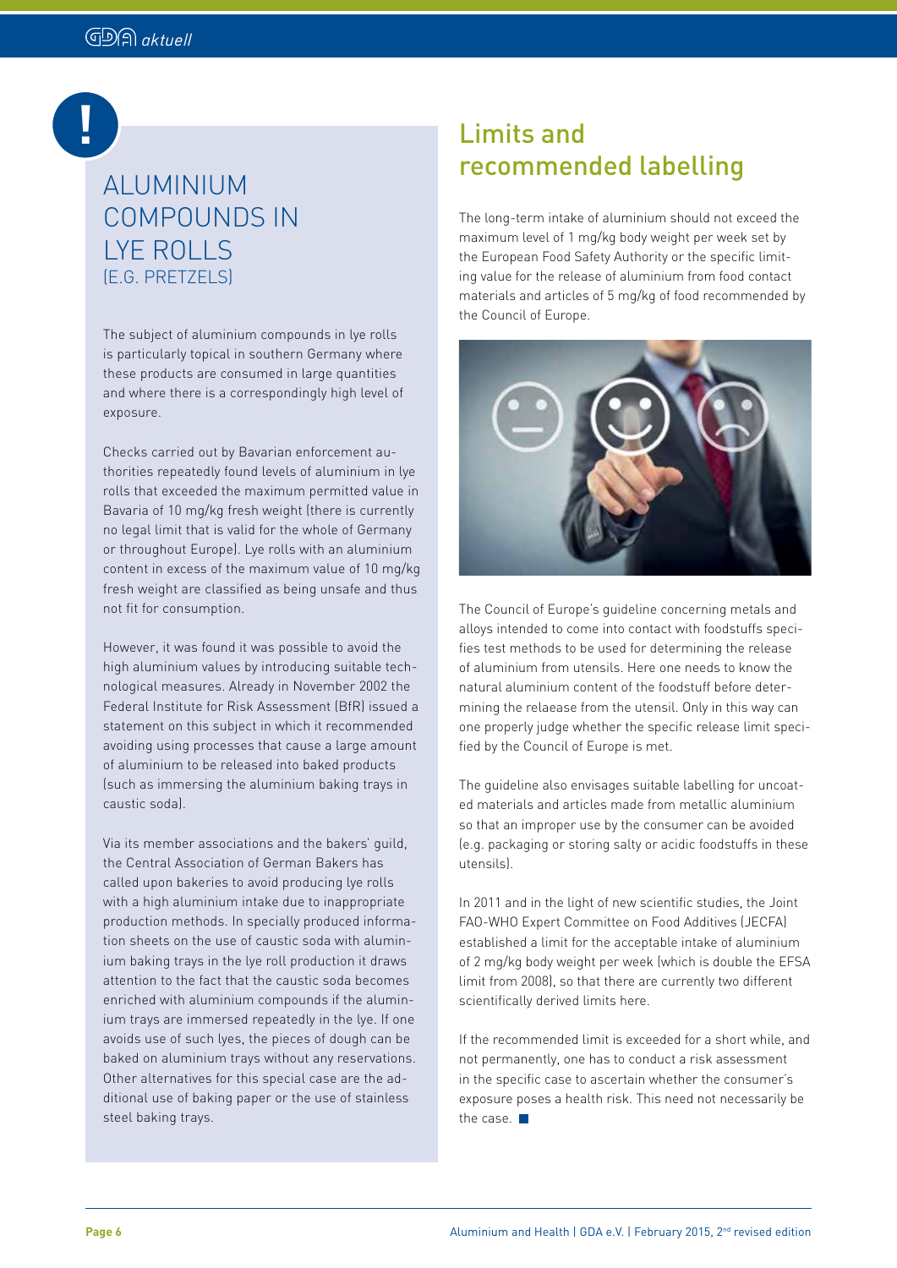# **!**

# COMPOUNDS IN LYE ROLLS (E.G. PRETZELS)

The subject of aluminium compounds in lye rolls is particularly topical in southern Germany where these products are consumed in large quantities and where there is a correspondingly high level of exposure.

Checks carried out by Bavarian enforcement authorities repeatedly found levels of aluminium in lye rolls that exceeded the maximum permitted value in Bavaria of 10 mg/kg fresh weight (there is currently no legal limit that is valid for the whole of Germany or throughout Europe). Lye rolls with an aluminium content in excess of the maximum value of 10 mg/kg fresh weight are classified as being unsafe and thus not fit for consumption.

However, it was found it was possible to avoid the high aluminium values by introducing suitable technological measures. Already in November 2002 the Federal Institute for Risk Assessment (BfR) issued a statement on this subject in which it recommended avoiding using processes that cause a large amount of aluminium to be released into baked products (such as immersing the aluminium baking trays in caustic soda).

Via its member associations and the bakers' guild, the Central Association of German Bakers has called upon bakeries to avoid producing lye rolls with a high aluminium intake due to inappropriate production methods. In specially produced information sheets on the use of caustic soda with aluminium baking trays in the lye roll production it draws attention to the fact that the caustic soda becomes enriched with aluminium compounds if the aluminium trays are immersed repeatedly in the lye. If one avoids use of such lyes, the pieces of dough can be baked on aluminium trays without any reservations. Other alternatives for this special case are the additional use of baking paper or the use of stainless steel baking trays.

#### Limits and recommended labelling ALUMINIUM

The long-term intake of aluminium should not exceed the maximum level of 1 mg/kg body weight per week set by the European Food Safety Authority or the specific limiting value for the release of aluminium from food contact materials and articles of 5 mg/kg of food recommended by the Council of Europe.



The Council of Europe's guideline concerning metals and alloys intended to come into contact with foodstuffs specifies test methods to be used for determining the release of aluminium from utensils. Here one needs to know the natural aluminium content of the foodstuff before determining the relaease from the utensil. Only in this way can one properly judge whether the specific release limit specified by the Council of Europe is met.

The guideline also envisages suitable labelling for uncoated materials and articles made from metallic aluminium so that an improper use by the consumer can be avoided (e.g. packaging or storing salty or acidic foodstuffs in these utensils).

In 2011 and in the light of new scientific studies, the Joint FAO-WHO Expert Committee on Food Additives (JECFA) established a limit for the acceptable intake of aluminium of 2 mg/kg body weight per week (which is double the EFSA limit from 2008), so that there are currently two different scientifically derived limits here.

If the recommended limit is exceeded for a short while, and not permanently, one has to conduct a risk assessment in the specific case to ascertain whether the consumer's exposure poses a health risk. This need not necessarily be the case.  $\blacksquare$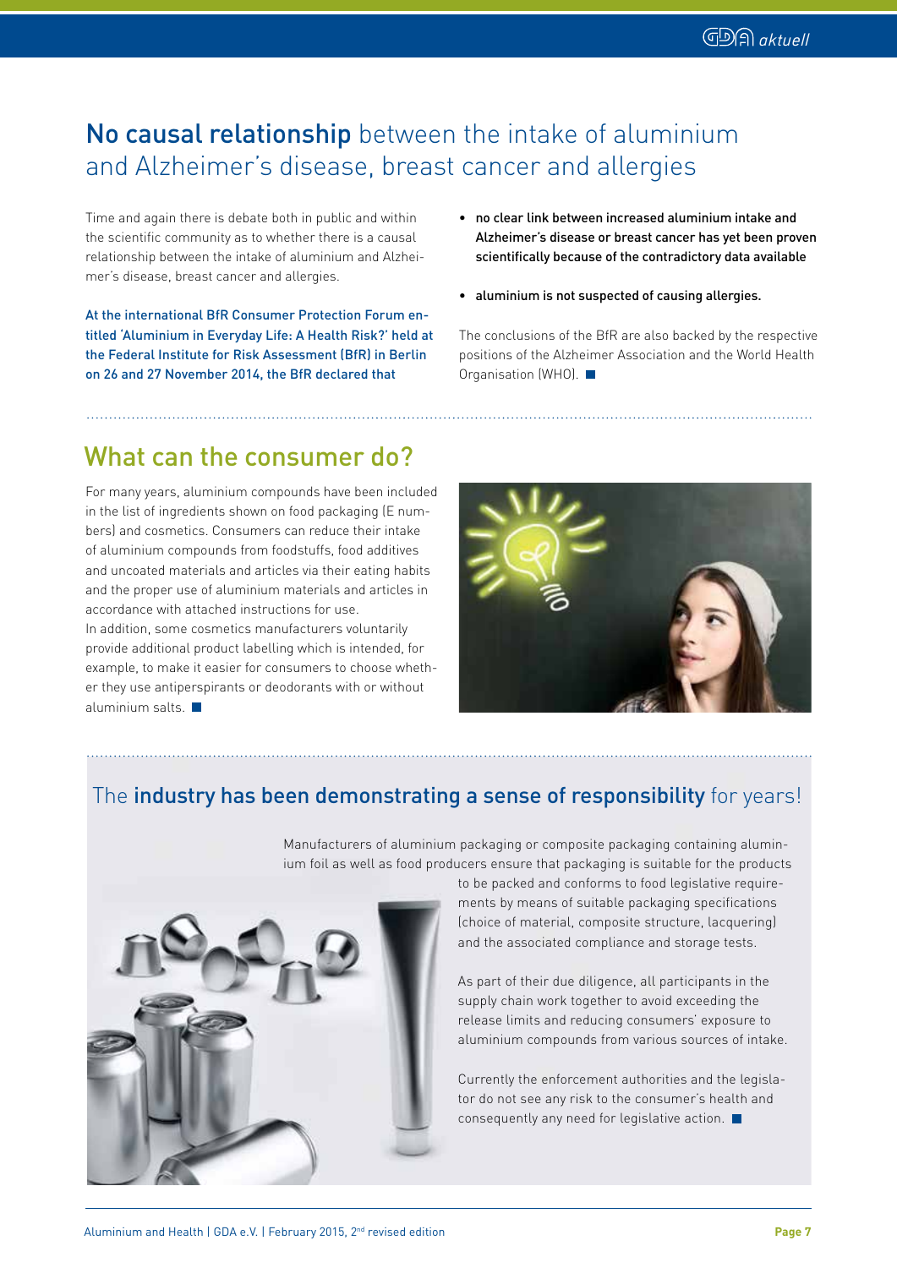#### No causal relationship between the intake of aluminium and Alzheimer's disease, breast cancer and allergies

Time and again there is debate both in public and within the scientific community as to whether there is a causal relationship between the intake of aluminium and Alzheimer's disease, breast cancer and allergies.

At the international BfR Consumer Protection Forum entitled 'Aluminium in Everyday Life: A Health Risk?' held at the Federal Institute for Risk Assessment (BfR) in Berlin on 26 and 27 November 2014, the BfR declared that

- no clear link between increased aluminium intake and Alzheimer's disease or breast cancer has yet been proven scientifically because of the contradictory data available
- aluminium is not suspected of causing allergies.

The conclusions of the BfR are also backed by the respective positions of the Alzheimer Association and the World Health Organisation (WHO).

#### What can the consumer do?

For many years, aluminium compounds have been included in the list of ingredients shown on food packaging (E numbers) and cosmetics. Consumers can reduce their intake of aluminium compounds from foodstuffs, food additives and uncoated materials and articles via their eating habits and the proper use of aluminium materials and articles in accordance with attached instructions for use. In addition, some cosmetics manufacturers voluntarily provide additional product labelling which is intended, for example, to make it easier for consumers to choose whether they use antiperspirants or deodorants with or without aluminium salts.  $\blacksquare$ 



#### The industry has been demonstrating a sense of responsibility for years!

Manufacturers of aluminium packaging or composite packaging containing aluminium foil as well as food producers ensure that packaging is suitable for the products



to be packed and conforms to food legislative requirements by means of suitable packaging specifications (choice of material, composite structure, lacquering) and the associated compliance and storage tests.

As part of their due diligence, all participants in the supply chain work together to avoid exceeding the release limits and reducing consumers' exposure to aluminium compounds from various sources of intake.

Currently the enforcement authorities and the legislator do not see any risk to the consumer's health and consequently any need for legislative action.